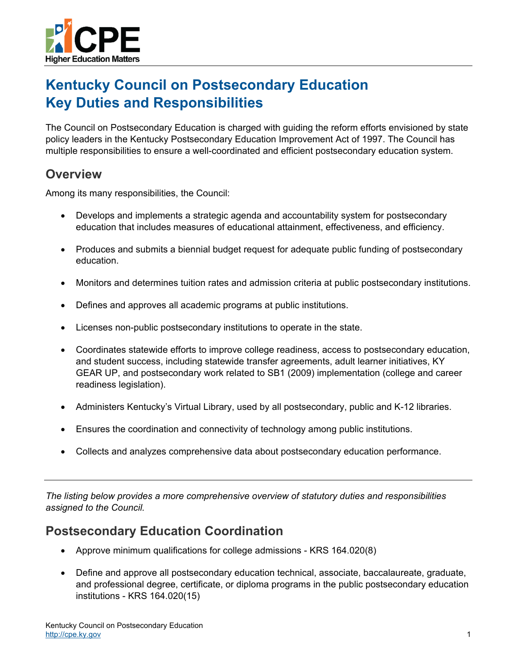

# **Kentucky Council on Postsecondary Education Key Duties and Responsibilities**

The Council on Postsecondary Education is charged with guiding the reform efforts envisioned by state policy leaders in the Kentucky Postsecondary Education Improvement Act of 1997. The Council has multiple responsibilities to ensure a well-coordinated and efficient postsecondary education system.

#### **Overview**

Among its many responsibilities, the Council:

- Develops and implements a strategic agenda and accountability system for postsecondary education that includes measures of educational attainment, effectiveness, and efficiency.
- Produces and submits a biennial budget request for adequate public funding of postsecondary education.
- Monitors and determines tuition rates and admission criteria at public postsecondary institutions.
- Defines and approves all academic programs at public institutions.
- Licenses non-public postsecondary institutions to operate in the state.
- Coordinates statewide efforts to improve college readiness, access to postsecondary education, and student success, including statewide transfer agreements, adult learner initiatives, KY GEAR UP, and postsecondary work related to SB1 (2009) implementation (college and career readiness legislation).
- Administers Kentucky's Virtual Library, used by all postsecondary, public and K-12 libraries.
- Ensures the coordination and connectivity of technology among public institutions.
- Collects and analyzes comprehensive data about postsecondary education performance.

*The listing below provides a more comprehensive overview of statutory duties and responsibilities assigned to the Council.* 

#### **Postsecondary Education Coordination**

- Approve minimum qualifications for college admissions KRS 164.020(8)
- Define and approve all postsecondary education technical, associate, baccalaureate, graduate, and professional degree, certificate, or diploma programs in the public postsecondary education institutions - KRS 164.020(15)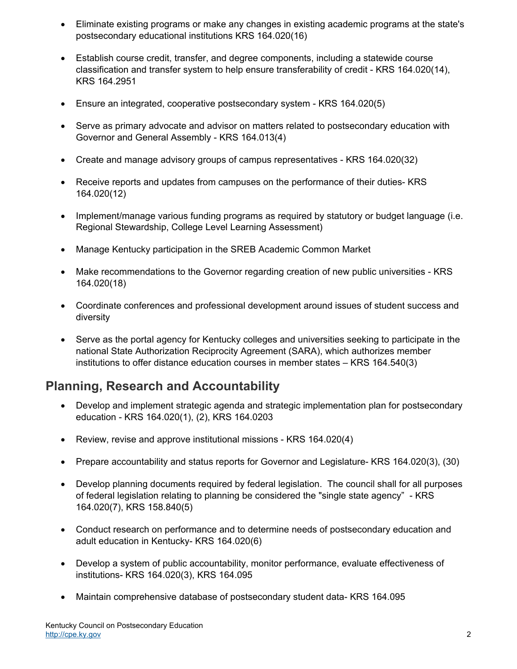- Eliminate existing programs or make any changes in existing academic programs at the state's postsecondary educational institutions KRS 164.020(16)
- Establish course credit, transfer, and degree components, including a statewide course classification and transfer system to help ensure transferability of credit - KRS 164.020(14), KRS 164.2951
- Ensure an integrated, cooperative postsecondary system KRS 164.020(5)
- Serve as primary advocate and advisor on matters related to postsecondary education with Governor and General Assembly - KRS 164.013(4)
- Create and manage advisory groups of campus representatives KRS 164.020(32)
- Receive reports and updates from campuses on the performance of their duties- KRS 164.020(12)
- Implement/manage various funding programs as required by statutory or budget language (i.e. Regional Stewardship, College Level Learning Assessment)
- Manage Kentucky participation in the SREB Academic Common Market
- Make recommendations to the Governor regarding creation of new public universities KRS 164.020(18)
- Coordinate conferences and professional development around issues of student success and diversity
- Serve as the portal agency for Kentucky colleges and universities seeking to participate in the national State Authorization Reciprocity Agreement (SARA), which authorizes member institutions to offer distance education courses in member states – KRS 164.540(3)

#### **Planning, Research and Accountability**

- Develop and implement strategic agenda and strategic implementation plan for postsecondary education - KRS 164.020(1), (2), KRS 164.0203
- Review, revise and approve institutional missions KRS 164.020(4)
- Prepare accountability and status reports for Governor and Legislature- KRS 164.020(3), (30)
- Develop planning documents required by federal legislation. The council shall for all purposes of federal legislation relating to planning be considered the "single state agency" - KRS 164.020(7), KRS 158.840(5)
- Conduct research on performance and to determine needs of postsecondary education and adult education in Kentucky- KRS 164.020(6)
- Develop a system of public accountability, monitor performance, evaluate effectiveness of institutions- KRS 164.020(3), KRS 164.095
- Maintain comprehensive database of postsecondary student data- KRS 164.095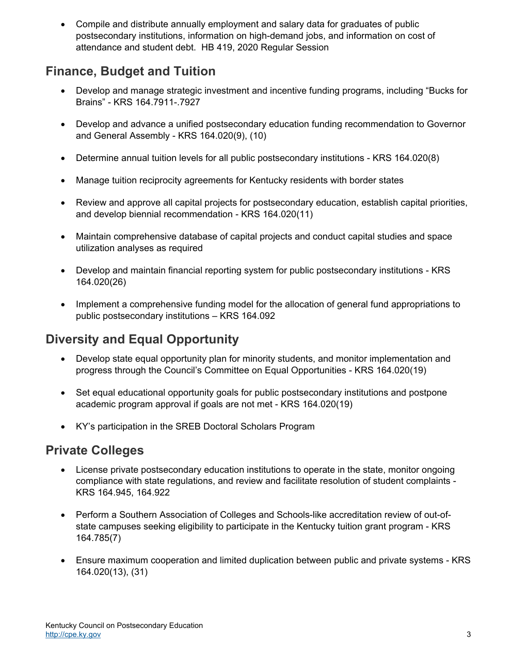Compile and distribute annually employment and salary data for graduates of public postsecondary institutions, information on high-demand jobs, and information on cost of attendance and student debt. HB 419, 2020 Regular Session

## **Finance, Budget and Tuition**

- Develop and manage strategic investment and incentive funding programs, including "Bucks for Brains" - KRS 164.7911-.7927
- Develop and advance a unified postsecondary education funding recommendation to Governor and General Assembly - KRS 164.020(9), (10)
- Determine annual tuition levels for all public postsecondary institutions KRS 164.020(8)
- Manage tuition reciprocity agreements for Kentucky residents with border states
- Review and approve all capital projects for postsecondary education, establish capital priorities, and develop biennial recommendation - KRS 164.020(11)
- Maintain comprehensive database of capital projects and conduct capital studies and space utilization analyses as required
- Develop and maintain financial reporting system for public postsecondary institutions KRS 164.020(26)
- Implement a comprehensive funding model for the allocation of general fund appropriations to public postsecondary institutions – KRS 164.092

# **Diversity and Equal Opportunity**

- Develop state equal opportunity plan for minority students, and monitor implementation and progress through the Council's Committee on Equal Opportunities - KRS 164.020(19)
- Set equal educational opportunity goals for public postsecondary institutions and postpone academic program approval if goals are not met - KRS 164.020(19)
- KY's participation in the SREB Doctoral Scholars Program

# **Private Colleges**

- License private postsecondary education institutions to operate in the state, monitor ongoing compliance with state regulations, and review and facilitate resolution of student complaints - KRS 164.945, 164.922
- Perform a Southern Association of Colleges and Schools-like accreditation review of out-ofstate campuses seeking eligibility to participate in the Kentucky tuition grant program - KRS 164.785(7)
- Ensure maximum cooperation and limited duplication between public and private systems KRS 164.020(13), (31)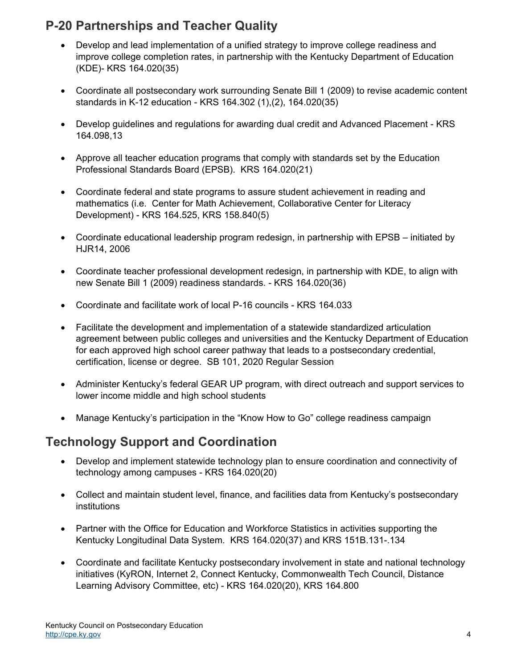# **P-20 Partnerships and Teacher Quality**

- Develop and lead implementation of a unified strategy to improve college readiness and improve college completion rates, in partnership with the Kentucky Department of Education (KDE)- KRS 164.020(35)
- Coordinate all postsecondary work surrounding Senate Bill 1 (2009) to revise academic content standards in K-12 education - KRS 164.302 (1),(2), 164.020(35)
- Develop guidelines and regulations for awarding dual credit and Advanced Placement KRS 164.098,13
- Approve all teacher education programs that comply with standards set by the Education Professional Standards Board (EPSB). KRS 164.020(21)
- Coordinate federal and state programs to assure student achievement in reading and mathematics (i.e. Center for Math Achievement, Collaborative Center for Literacy Development) - KRS 164.525, KRS 158.840(5)
- Coordinate educational leadership program redesign, in partnership with EPSB initiated by HJR14, 2006
- Coordinate teacher professional development redesign, in partnership with KDE, to align with new Senate Bill 1 (2009) readiness standards. - KRS 164.020(36)
- Coordinate and facilitate work of local P-16 councils KRS 164.033
- Facilitate the development and implementation of a statewide standardized articulation agreement between public colleges and universities and the Kentucky Department of Education for each approved high school career pathway that leads to a postsecondary credential, certification, license or degree. SB 101, 2020 Regular Session
- Administer Kentucky's federal GEAR UP program, with direct outreach and support services to lower income middle and high school students
- Manage Kentucky's participation in the "Know How to Go" college readiness campaign

#### **Technology Support and Coordination**

- Develop and implement statewide technology plan to ensure coordination and connectivity of technology among campuses - KRS 164.020(20)
- Collect and maintain student level, finance, and facilities data from Kentucky's postsecondary institutions
- Partner with the Office for Education and Workforce Statistics in activities supporting the Kentucky Longitudinal Data System. KRS 164.020(37) and KRS 151B.131-.134
- Coordinate and facilitate Kentucky postsecondary involvement in state and national technology initiatives (KyRON, Internet 2, Connect Kentucky, Commonwealth Tech Council, Distance Learning Advisory Committee, etc) - KRS 164.020(20), KRS 164.800